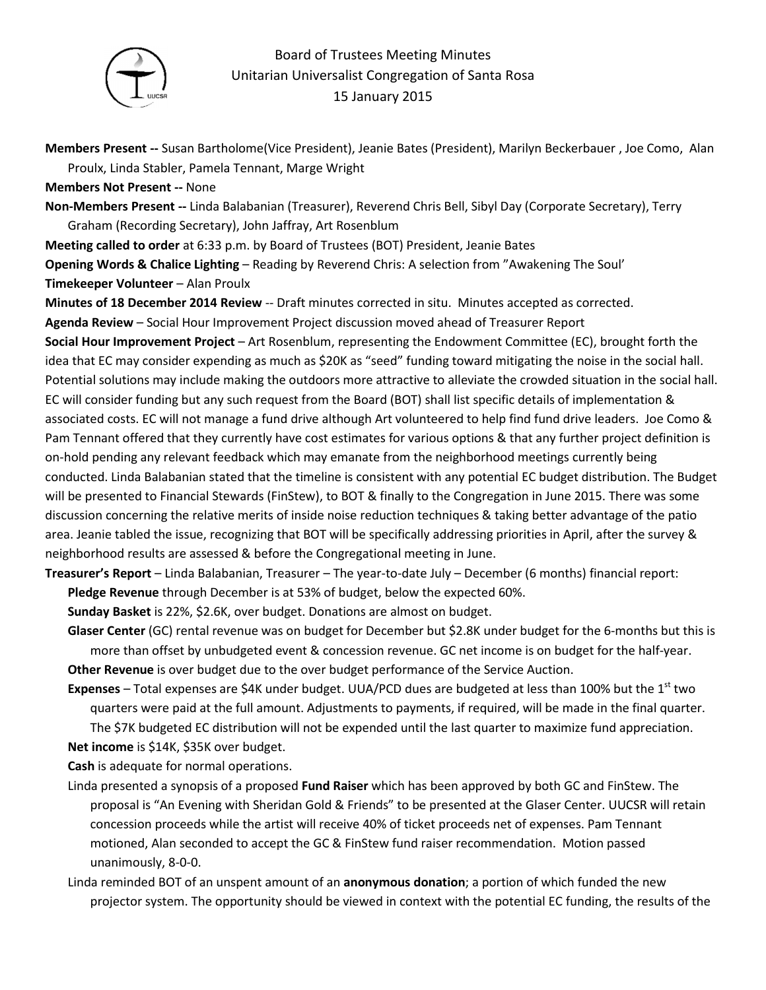

## Board of Trustees Meeting Minutes Unitarian Universalist Congregation of Santa Rosa 15 January 2015

**Members Present --** Susan Bartholome(Vice President), Jeanie Bates (President), Marilyn Beckerbauer , Joe Como, Alan Proulx, Linda Stabler, Pamela Tennant, Marge Wright

**Members Not Present --** None

**Non-Members Present --** Linda Balabanian (Treasurer), Reverend Chris Bell, Sibyl Day (Corporate Secretary), Terry Graham (Recording Secretary), John Jaffray, Art Rosenblum

**Meeting called to order** at 6:33 p.m. by Board of Trustees (BOT) President, Jeanie Bates

**Opening Words & Chalice Lighting** – Reading by Reverend Chris: A selection from "Awakening The Soul' **Timekeeper Volunteer** – Alan Proulx

**Minutes of 18 December 2014 Review** -- Draft minutes corrected in situ. Minutes accepted as corrected. **Agenda Review** – Social Hour Improvement Project discussion moved ahead of Treasurer Report

**Social Hour Improvement Project** – Art Rosenblum, representing the Endowment Committee (EC), brought forth the idea that EC may consider expending as much as \$20K as "seed" funding toward mitigating the noise in the social hall. Potential solutions may include making the outdoors more attractive to alleviate the crowded situation in the social hall. EC will consider funding but any such request from the Board (BOT) shall list specific details of implementation & associated costs. EC will not manage a fund drive although Art volunteered to help find fund drive leaders. Joe Como & Pam Tennant offered that they currently have cost estimates for various options & that any further project definition is on-hold pending any relevant feedback which may emanate from the neighborhood meetings currently being conducted. Linda Balabanian stated that the timeline is consistent with any potential EC budget distribution. The Budget will be presented to Financial Stewards (FinStew), to BOT & finally to the Congregation in June 2015. There was some discussion concerning the relative merits of inside noise reduction techniques & taking better advantage of the patio area. Jeanie tabled the issue, recognizing that BOT will be specifically addressing priorities in April, after the survey & neighborhood results are assessed & before the Congregational meeting in June.

**Treasurer's Report** – Linda Balabanian, Treasurer – The year-to-date July – December (6 months) financial report: **Pledge Revenue** through December is at 53% of budget, below the expected 60%.

**Sunday Basket** is 22%, \$2.6K, over budget. Donations are almost on budget.

**Glaser Center** (GC) rental revenue was on budget for December but \$2.8K under budget for the 6-months but this is more than offset by unbudgeted event & concession revenue. GC net income is on budget for the half-year. **Other Revenue** is over budget due to the over budget performance of the Service Auction.

**Expenses** – Total expenses are \$4K under budget. UUA/PCD dues are budgeted at less than 100% but the 1<sup>st</sup> two quarters were paid at the full amount. Adjustments to payments, if required, will be made in the final quarter. The \$7K budgeted EC distribution will not be expended until the last quarter to maximize fund appreciation.

**Net income** is \$14K, \$35K over budget.

**Cash** is adequate for normal operations.

- Linda presented a synopsis of a proposed **Fund Raiser** which has been approved by both GC and FinStew. The proposal is "An Evening with Sheridan Gold & Friends" to be presented at the Glaser Center. UUCSR will retain concession proceeds while the artist will receive 40% of ticket proceeds net of expenses. Pam Tennant motioned, Alan seconded to accept the GC & FinStew fund raiser recommendation. Motion passed unanimously, 8-0-0.
- Linda reminded BOT of an unspent amount of an **anonymous donation**; a portion of which funded the new projector system. The opportunity should be viewed in context with the potential EC funding, the results of the